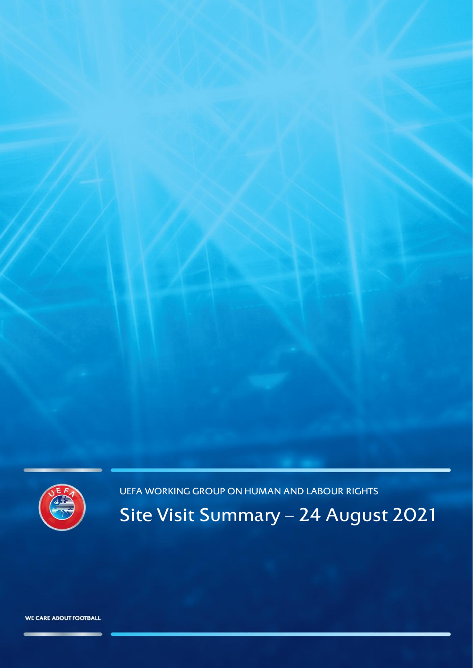

UEFA WORKING GROUP ON HUMAN AND LABOUR RIGHTS

Site Visit Summary – 24 August 2021

WE CARE ABOUT FOOTBALL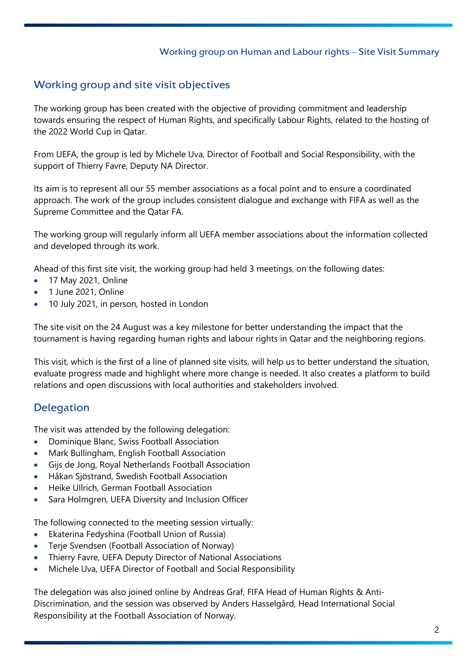### Working group on Human and Labour rights – Site Visit Summary

# Working group and site visit objectives

The working group has been created with the objective of providing commitment and leadership towards ensuring the respect of Human Rights, and specifically Labour Rights, related to the hosting of the 2022 World Cup in Qatar.

From UEFA, the group is led by Michele Uva, Director of Football and Social Responsibility, with the support of Thierry Favre, Deputy NA Director.

Its aim is to represent all our 55 member associations as a focal point and to ensure a coordinated approach. The work of the group includes consistent dialogue and exchange with FIFA as well as the Supreme Committee and the Qatar FA.

The working group will regularly inform all UEFA member associations about the information collected and developed through its work.

Ahead of this first site visit, the working group had held 3 meetings, on the following dates:

- 17 May 2021, Online
- 1 June 2021, Online
- 10 July 2021, in person, hosted in London

The site visit on the 24 August was a key milestone for better understanding the impact that the tournament is having regarding human rights and labour rights in Qatar and the neighboring regions.

This visit, which is the first of a line of planned site visits, will help us to better understand the situation, evaluate progress made and highlight where more change is needed. It also creates a platform to build relations and open discussions with local authorities and stakeholders involved.

# Delegation

The visit was attended by the following delegation:

- Dominique Blanc, Swiss Football Association
- Mark Bullingham, English Football Association
- Gijs de Jong, Royal Netherlands Football Association
- Håkan Sjöstrand, Swedish Football Association
- Heike Ullrich, German Football Association
- Sara Holmgren, UEFA Diversity and Inclusion Officer

The following connected to the meeting session virtually:

- Ekaterina Fedyshina (Football Union of Russia)
- Terje Svendsen (Football Association of Norway)
- Thierry Favre, UEFA Deputy Director of National Associations
- Michele Uva, UEFA Director of Football and Social Responsibility

The delegation was also joined online by Andreas Graf, FIFA Head of Human Rights & Anti-Discrimination, and the session was observed by Anders Hasselgård, Head International Social Responsibility at the Football Association of Norway.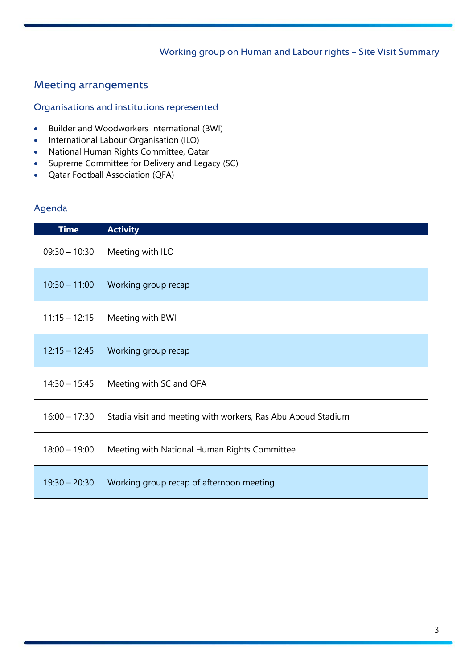## Working group on Human and Labour rights – Site Visit Summary

# Meeting arrangements

### Organisations and institutions represented

- Builder and Woodworkers International (BWI)
- International Labour Organisation (ILO)
- National Human Rights Committee, Qatar
- Supreme Committee for Delivery and Legacy (SC)
- Qatar Football Association (QFA)

## Agenda

| <b>Time</b>     | <b>Activity</b>                                              |
|-----------------|--------------------------------------------------------------|
| $09:30 - 10:30$ | Meeting with ILO                                             |
| $10:30 - 11:00$ | Working group recap                                          |
| $11:15 - 12:15$ | Meeting with BWI                                             |
| $12:15 - 12:45$ | Working group recap                                          |
| $14:30 - 15:45$ | Meeting with SC and QFA                                      |
| $16:00 - 17:30$ | Stadia visit and meeting with workers, Ras Abu Aboud Stadium |
| $18:00 - 19:00$ | Meeting with National Human Rights Committee                 |
| $19:30 - 20:30$ | Working group recap of afternoon meeting                     |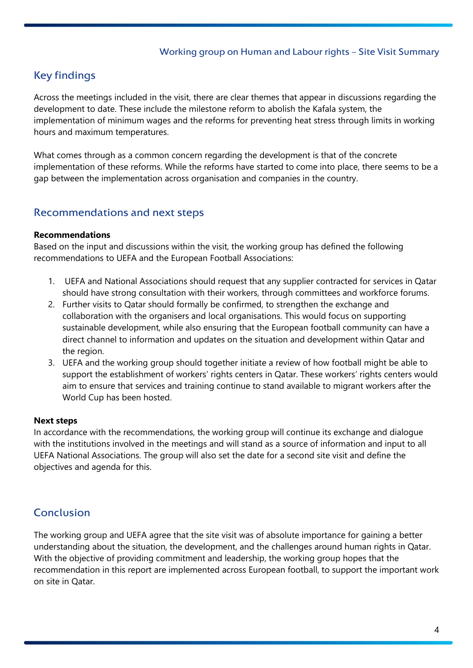### Working group on Human and Labour rights – Site Visit Summary

# Key findings

Across the meetings included in the visit, there are clear themes that appear in discussions regarding the development to date. These include the milestone reform to abolish the Kafala system, the implementation of minimum wages and the reforms for preventing heat stress through limits in working hours and maximum temperatures.

What comes through as a common concern regarding the development is that of the concrete implementation of these reforms. While the reforms have started to come into place, there seems to be a gap between the implementation across organisation and companies in the country.

## Recommendations and next steps

#### **Recommendations**

Based on the input and discussions within the visit, the working group has defined the following recommendations to UEFA and the European Football Associations:

- 1. UEFA and National Associations should request that any supplier contracted for services in Qatar should have strong consultation with their workers, through committees and workforce forums.
- 2. Further visits to Qatar should formally be confirmed, to strengthen the exchange and collaboration with the organisers and local organisations. This would focus on supporting sustainable development, while also ensuring that the European football community can have a direct channel to information and updates on the situation and development within Qatar and the region.
- 3. UEFA and the working group should together initiate a review of how football might be able to support the establishment of workers' rights centers in Qatar. These workers' rights centers would aim to ensure that services and training continue to stand available to migrant workers after the World Cup has been hosted.

#### **Next steps**

In accordance with the recommendations, the working group will continue its exchange and dialogue with the institutions involved in the meetings and will stand as a source of information and input to all UEFA National Associations. The group will also set the date for a second site visit and define the objectives and agenda for this.

# Conclusion

The working group and UEFA agree that the site visit was of absolute importance for gaining a better understanding about the situation, the development, and the challenges around human rights in Qatar. With the objective of providing commitment and leadership, the working group hopes that the recommendation in this report are implemented across European football, to support the important work on site in Qatar.